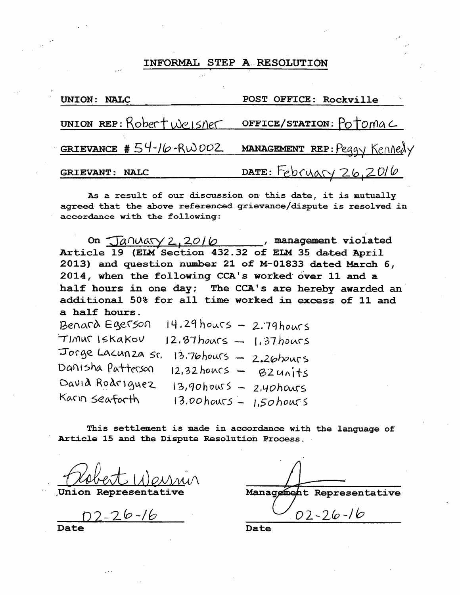## INFORMAL STEP A RESOLUTION

| UNION: NALC                                       | POST OFFICE: Rockville                               |
|---------------------------------------------------|------------------------------------------------------|
| UNION REP: Robert Weisner OFFICE/STATION: Potomac |                                                      |
|                                                   | GRIEVANCE #54-16-RW002 MANAGEMENT REP: Peggy Kennedy |
| GRIEVANT: NALC                                    | $\frac{\texttt{DATE}}{\texttt{CE}}$ February 26,2016 |

As a result of our discussion on this date, it is mutually agreed that the above referenced grievance/dispute is resolved in accordance with the following:

On  $\sqrt{2400\text{aV}}$  2, 2016 management violated Article 19 (ELM Section 432.32 of ELM 35 dated April 2013) and question number 21 of M-01833 dated March 6, 2014, when the following CCA's worked' over 11 and a half hours in one day; The CCA's are hereby awarded an additional 50% for all time worked in excess of 11 and a half hours.

 $B$ enard Egerson  $14.29$  hours - 2.79 hours  $TIMW$  Iskakov  $12.87$ hours  $-1.37$  hours Jorge Lacunza sr. 13.76hours - 2.26hours Danisha Patterson  $12,32$  hours  $82$  units David Rodriguez 13,90hows - 2.40hours  $Kain$  seaforth 13,00 hours - *J*,50 hours

This settlement is made in accordance with the language of Article 15 and the Dispute Resolution Process.

Union Representative

02-26-16  $\frac{02-26-16}{\text{Date}}$ 

Date Date Date

Management Representative